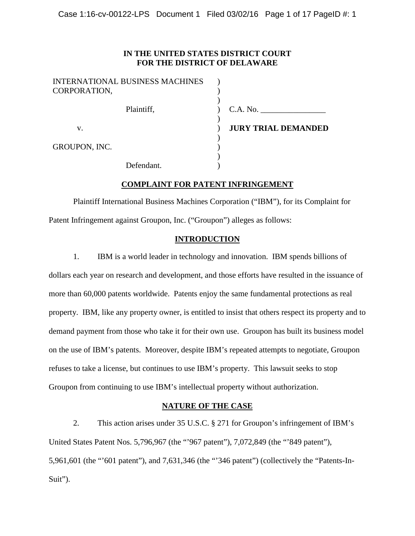## **IN THE UNITED STATES DISTRICT COURT FOR THE DISTRICT OF DELAWARE**

| <b>INTERNATIONAL BUSINESS MACHINES</b><br>CORPORATION, |                            |
|--------------------------------------------------------|----------------------------|
| Plaintiff,                                             | C.A. No.                   |
| v.                                                     | <b>JURY TRIAL DEMANDED</b> |
| GROUPON, INC.                                          |                            |
| Defendant.                                             |                            |

# **COMPLAINT FOR PATENT INFRINGEMENT**

Plaintiff International Business Machines Corporation ("IBM"), for its Complaint for Patent Infringement against Groupon, Inc. ("Groupon") alleges as follows:

## **INTRODUCTION**

1. IBM is a world leader in technology and innovation. IBM spends billions of dollars each year on research and development, and those efforts have resulted in the issuance of more than 60,000 patents worldwide. Patents enjoy the same fundamental protections as real property. IBM, like any property owner, is entitled to insist that others respect its property and to demand payment from those who take it for their own use. Groupon has built its business model on the use of IBM's patents. Moreover, despite IBM's repeated attempts to negotiate, Groupon refuses to take a license, but continues to use IBM's property. This lawsuit seeks to stop Groupon from continuing to use IBM's intellectual property without authorization.

# **NATURE OF THE CASE**

2. This action arises under 35 U.S.C. § 271 for Groupon's infringement of IBM's United States Patent Nos. 5,796,967 (the "'967 patent"), 7,072,849 (the "'849 patent"), 5,961,601 (the "'601 patent"), and 7,631,346 (the "'346 patent") (collectively the "Patents-In-Suit").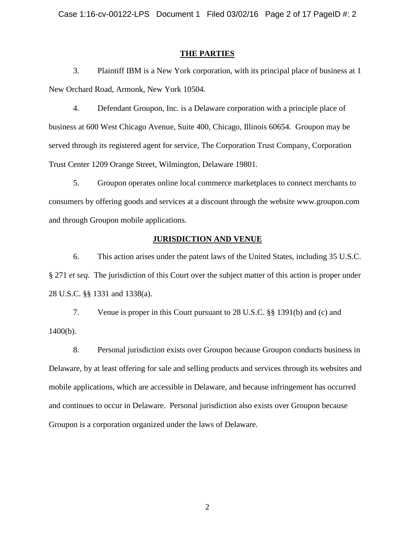#### **THE PARTIES**

3. Plaintiff IBM is a New York corporation, with its principal place of business at 1 New Orchard Road, Armonk, New York 10504.

4. Defendant Groupon, Inc. is a Delaware corporation with a principle place of business at 600 West Chicago Avenue, Suite 400, Chicago, Illinois 60654. Groupon may be served through its registered agent for service, The Corporation Trust Company, Corporation Trust Center 1209 Orange Street, Wilmington, Delaware 19801.

5. Groupon operates online local commerce marketplaces to connect merchants to consumers by offering goods and services at a discount through the website www.groupon.com and through Groupon mobile applications.

# **JURISDICTION AND VENUE**

6. This action arises under the patent laws of the United States, including 35 U.S.C. § 271 *et seq*. The jurisdiction of this Court over the subject matter of this action is proper under 28 U.S.C. §§ 1331 and 1338(a).

7. Venue is proper in this Court pursuant to 28 U.S.C. §§ 1391(b) and (c) and 1400(b).

8. Personal jurisdiction exists over Groupon because Groupon conducts business in Delaware, by at least offering for sale and selling products and services through its websites and mobile applications, which are accessible in Delaware, and because infringement has occurred and continues to occur in Delaware. Personal jurisdiction also exists over Groupon because Groupon is a corporation organized under the laws of Delaware.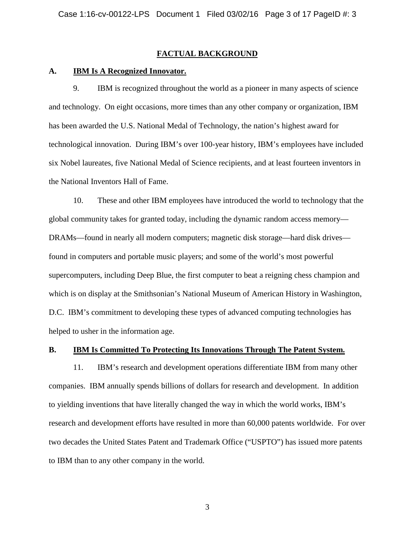## **FACTUAL BACKGROUND**

### **A. IBM Is A Recognized Innovator.**

9. IBM is recognized throughout the world as a pioneer in many aspects of science and technology. On eight occasions, more times than any other company or organization, IBM has been awarded the U.S. National Medal of Technology, the nation's highest award for technological innovation. During IBM's over 100-year history, IBM's employees have included six Nobel laureates, five National Medal of Science recipients, and at least fourteen inventors in the National Inventors Hall of Fame.

10. These and other IBM employees have introduced the world to technology that the global community takes for granted today, including the dynamic random access memory— DRAMs—found in nearly all modern computers; magnetic disk storage—hard disk drives found in computers and portable music players; and some of the world's most powerful supercomputers, including Deep Blue, the first computer to beat a reigning chess champion and which is on display at the Smithsonian's National Museum of American History in Washington, D.C. IBM's commitment to developing these types of advanced computing technologies has helped to usher in the information age.

# **B. IBM Is Committed To Protecting Its Innovations Through The Patent System.**

11. IBM's research and development operations differentiate IBM from many other companies. IBM annually spends billions of dollars for research and development. In addition to yielding inventions that have literally changed the way in which the world works, IBM's research and development efforts have resulted in more than 60,000 patents worldwide. For over two decades the United States Patent and Trademark Office ("USPTO") has issued more patents to IBM than to any other company in the world.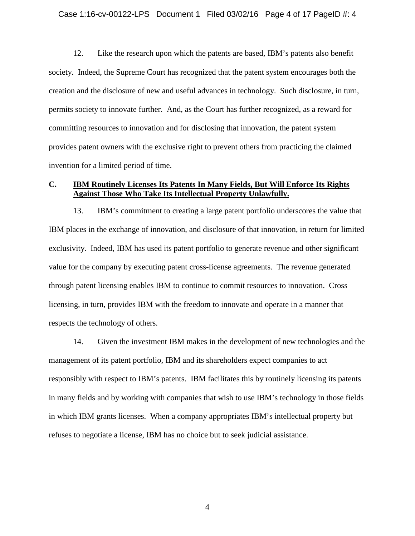12. Like the research upon which the patents are based, IBM's patents also benefit society. Indeed, the Supreme Court has recognized that the patent system encourages both the creation and the disclosure of new and useful advances in technology. Such disclosure, in turn, permits society to innovate further. And, as the Court has further recognized, as a reward for committing resources to innovation and for disclosing that innovation, the patent system provides patent owners with the exclusive right to prevent others from practicing the claimed invention for a limited period of time.

# **C. IBM Routinely Licenses Its Patents In Many Fields, But Will Enforce Its Rights Against Those Who Take Its Intellectual Property Unlawfully.**

13. IBM's commitment to creating a large patent portfolio underscores the value that IBM places in the exchange of innovation, and disclosure of that innovation, in return for limited exclusivity. Indeed, IBM has used its patent portfolio to generate revenue and other significant value for the company by executing patent cross-license agreements. The revenue generated through patent licensing enables IBM to continue to commit resources to innovation. Cross licensing, in turn, provides IBM with the freedom to innovate and operate in a manner that respects the technology of others.

14. Given the investment IBM makes in the development of new technologies and the management of its patent portfolio, IBM and its shareholders expect companies to act responsibly with respect to IBM's patents. IBM facilitates this by routinely licensing its patents in many fields and by working with companies that wish to use IBM's technology in those fields in which IBM grants licenses. When a company appropriates IBM's intellectual property but refuses to negotiate a license, IBM has no choice but to seek judicial assistance.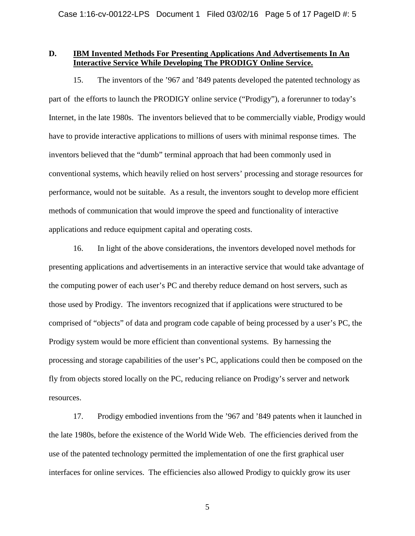# **D. IBM Invented Methods For Presenting Applications And Advertisements In An Interactive Service While Developing The PRODIGY Online Service.**

15. The inventors of the '967 and '849 patents developed the patented technology as part of the efforts to launch the PRODIGY online service ("Prodigy"), a forerunner to today's Internet, in the late 1980s. The inventors believed that to be commercially viable, Prodigy would have to provide interactive applications to millions of users with minimal response times. The inventors believed that the "dumb" terminal approach that had been commonly used in conventional systems, which heavily relied on host servers' processing and storage resources for performance, would not be suitable. As a result, the inventors sought to develop more efficient methods of communication that would improve the speed and functionality of interactive applications and reduce equipment capital and operating costs.

16. In light of the above considerations, the inventors developed novel methods for presenting applications and advertisements in an interactive service that would take advantage of the computing power of each user's PC and thereby reduce demand on host servers, such as those used by Prodigy. The inventors recognized that if applications were structured to be comprised of "objects" of data and program code capable of being processed by a user's PC, the Prodigy system would be more efficient than conventional systems. By harnessing the processing and storage capabilities of the user's PC, applications could then be composed on the fly from objects stored locally on the PC, reducing reliance on Prodigy's server and network resources.

17. Prodigy embodied inventions from the '967 and '849 patents when it launched in the late 1980s, before the existence of the World Wide Web. The efficiencies derived from the use of the patented technology permitted the implementation of one the first graphical user interfaces for online services. The efficiencies also allowed Prodigy to quickly grow its user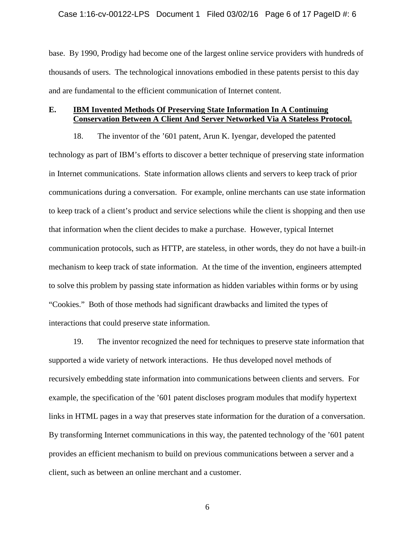base. By 1990, Prodigy had become one of the largest online service providers with hundreds of thousands of users. The technological innovations embodied in these patents persist to this day and are fundamental to the efficient communication of Internet content.

# **E. IBM Invented Methods Of Preserving State Information In A Continuing Conservation Between A Client And Server Networked Via A Stateless Protocol.**

18. The inventor of the '601 patent, Arun K. Iyengar, developed the patented technology as part of IBM's efforts to discover a better technique of preserving state information in Internet communications. State information allows clients and servers to keep track of prior communications during a conversation. For example, online merchants can use state information to keep track of a client's product and service selections while the client is shopping and then use that information when the client decides to make a purchase. However, typical Internet communication protocols, such as HTTP, are stateless, in other words, they do not have a built-in mechanism to keep track of state information. At the time of the invention, engineers attempted to solve this problem by passing state information as hidden variables within forms or by using "Cookies." Both of those methods had significant drawbacks and limited the types of interactions that could preserve state information.

19. The inventor recognized the need for techniques to preserve state information that supported a wide variety of network interactions. He thus developed novel methods of recursively embedding state information into communications between clients and servers. For example, the specification of the '601 patent discloses program modules that modify hypertext links in HTML pages in a way that preserves state information for the duration of a conversation. By transforming Internet communications in this way, the patented technology of the '601 patent provides an efficient mechanism to build on previous communications between a server and a client, such as between an online merchant and a customer.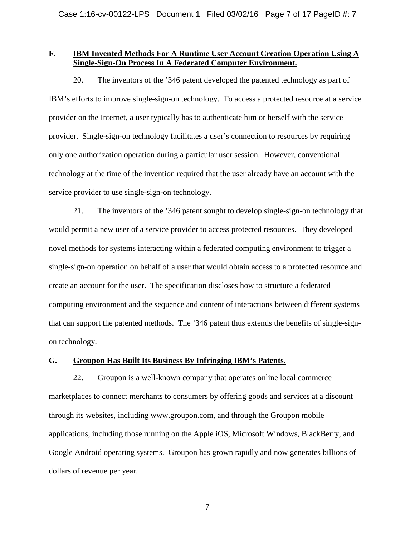# **F. IBM Invented Methods For A Runtime User Account Creation Operation Using A Single-Sign-On Process In A Federated Computer Environment.**

20. The inventors of the '346 patent developed the patented technology as part of IBM's efforts to improve single-sign-on technology. To access a protected resource at a service provider on the Internet, a user typically has to authenticate him or herself with the service provider. Single-sign-on technology facilitates a user's connection to resources by requiring only one authorization operation during a particular user session. However, conventional technology at the time of the invention required that the user already have an account with the service provider to use single-sign-on technology.

21. The inventors of the '346 patent sought to develop single-sign-on technology that would permit a new user of a service provider to access protected resources. They developed novel methods for systems interacting within a federated computing environment to trigger a single-sign-on operation on behalf of a user that would obtain access to a protected resource and create an account for the user. The specification discloses how to structure a federated computing environment and the sequence and content of interactions between different systems that can support the patented methods. The '346 patent thus extends the benefits of single-signon technology.

## **G. Groupon Has Built Its Business By Infringing IBM's Patents.**

22. Groupon is a well-known company that operates online local commerce marketplaces to connect merchants to consumers by offering goods and services at a discount through its websites, including www.groupon.com, and through the Groupon mobile applications, including those running on the Apple iOS, Microsoft Windows, BlackBerry, and Google Android operating systems. Groupon has grown rapidly and now generates billions of dollars of revenue per year.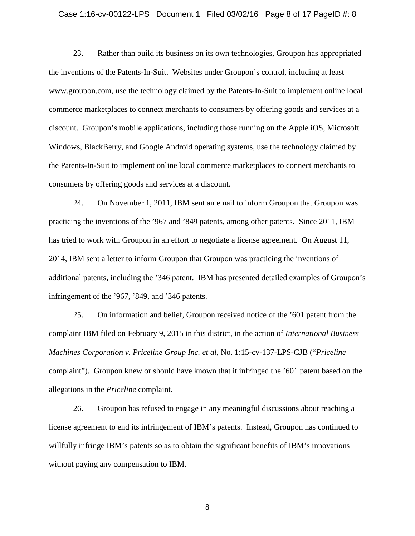#### Case 1:16-cv-00122-LPS Document 1 Filed 03/02/16 Page 8 of 17 PageID #: 8

23. Rather than build its business on its own technologies, Groupon has appropriated the inventions of the Patents-In-Suit. Websites under Groupon's control, including at least www.groupon.com, use the technology claimed by the Patents-In-Suit to implement online local commerce marketplaces to connect merchants to consumers by offering goods and services at a discount. Groupon's mobile applications, including those running on the Apple iOS, Microsoft Windows, BlackBerry, and Google Android operating systems, use the technology claimed by the Patents-In-Suit to implement online local commerce marketplaces to connect merchants to consumers by offering goods and services at a discount.

24. On November 1, 2011, IBM sent an email to inform Groupon that Groupon was practicing the inventions of the '967 and '849 patents, among other patents. Since 2011, IBM has tried to work with Groupon in an effort to negotiate a license agreement. On August 11, 2014, IBM sent a letter to inform Groupon that Groupon was practicing the inventions of additional patents, including the '346 patent. IBM has presented detailed examples of Groupon's infringement of the '967, '849, and '346 patents.

25. On information and belief, Groupon received notice of the '601 patent from the complaint IBM filed on February 9, 2015 in this district, in the action of *International Business Machines Corporation v. Priceline Group Inc. et al*, No. 1:15-cv-137-LPS-CJB ("*Priceline* complaint"). Groupon knew or should have known that it infringed the '601 patent based on the allegations in the *Priceline* complaint.

26. Groupon has refused to engage in any meaningful discussions about reaching a license agreement to end its infringement of IBM's patents. Instead, Groupon has continued to willfully infringe IBM's patents so as to obtain the significant benefits of IBM's innovations without paying any compensation to IBM.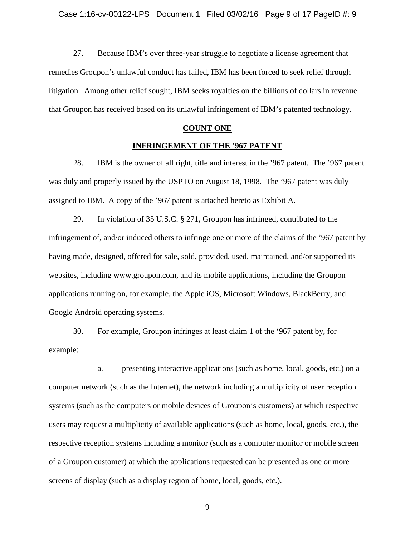27. Because IBM's over three-year struggle to negotiate a license agreement that remedies Groupon's unlawful conduct has failed, IBM has been forced to seek relief through litigation. Among other relief sought, IBM seeks royalties on the billions of dollars in revenue that Groupon has received based on its unlawful infringement of IBM's patented technology.

## **COUNT ONE**

# **INFRINGEMENT OF THE '967 PATENT**

28. IBM is the owner of all right, title and interest in the '967 patent. The '967 patent was duly and properly issued by the USPTO on August 18, 1998. The '967 patent was duly assigned to IBM. A copy of the '967 patent is attached hereto as Exhibit A.

29. In violation of 35 U.S.C. § 271, Groupon has infringed, contributed to the infringement of, and/or induced others to infringe one or more of the claims of the '967 patent by having made, designed, offered for sale, sold, provided, used, maintained, and/or supported its websites, including www.groupon.com, and its mobile applications, including the Groupon applications running on, for example, the Apple iOS, Microsoft Windows, BlackBerry, and Google Android operating systems.

30. For example, Groupon infringes at least claim 1 of the '967 patent by, for example:

a. presenting interactive applications (such as home, local, goods, etc.) on a computer network (such as the Internet), the network including a multiplicity of user reception systems (such as the computers or mobile devices of Groupon's customers) at which respective users may request a multiplicity of available applications (such as home, local, goods, etc.), the respective reception systems including a monitor (such as a computer monitor or mobile screen of a Groupon customer) at which the applications requested can be presented as one or more screens of display (such as a display region of home, local, goods, etc.).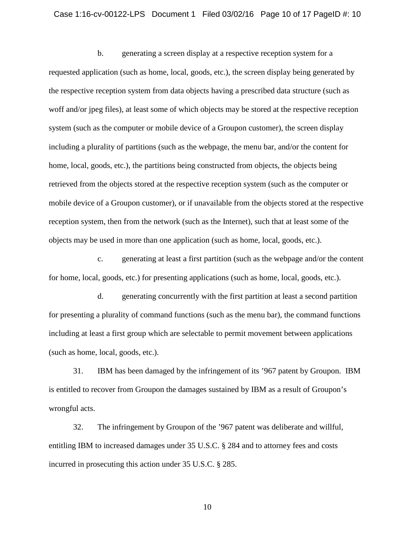#### Case 1:16-cv-00122-LPS Document 1 Filed 03/02/16 Page 10 of 17 PageID #: 10

b. generating a screen display at a respective reception system for a requested application (such as home, local, goods, etc.), the screen display being generated by the respective reception system from data objects having a prescribed data structure (such as woff and/or jpeg files), at least some of which objects may be stored at the respective reception system (such as the computer or mobile device of a Groupon customer), the screen display including a plurality of partitions (such as the webpage, the menu bar, and/or the content for home, local, goods, etc.), the partitions being constructed from objects, the objects being retrieved from the objects stored at the respective reception system (such as the computer or mobile device of a Groupon customer), or if unavailable from the objects stored at the respective reception system, then from the network (such as the Internet), such that at least some of the objects may be used in more than one application (such as home, local, goods, etc.).

c. generating at least a first partition (such as the webpage and/or the content for home, local, goods, etc.) for presenting applications (such as home, local, goods, etc.).

d. generating concurrently with the first partition at least a second partition for presenting a plurality of command functions (such as the menu bar), the command functions including at least a first group which are selectable to permit movement between applications (such as home, local, goods, etc.).

31. IBM has been damaged by the infringement of its '967 patent by Groupon. IBM is entitled to recover from Groupon the damages sustained by IBM as a result of Groupon's wrongful acts.

32. The infringement by Groupon of the '967 patent was deliberate and willful, entitling IBM to increased damages under 35 U.S.C. § 284 and to attorney fees and costs incurred in prosecuting this action under 35 U.S.C. § 285.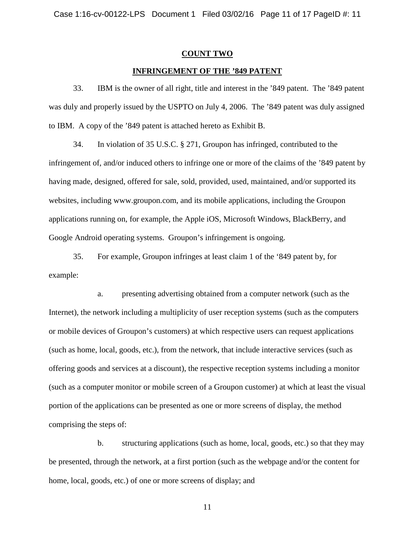#### **COUNT TWO**

## **INFRINGEMENT OF THE '849 PATENT**

33. IBM is the owner of all right, title and interest in the '849 patent. The '849 patent was duly and properly issued by the USPTO on July 4, 2006. The '849 patent was duly assigned to IBM. A copy of the '849 patent is attached hereto as Exhibit B.

34. In violation of 35 U.S.C. § 271, Groupon has infringed, contributed to the infringement of, and/or induced others to infringe one or more of the claims of the '849 patent by having made, designed, offered for sale, sold, provided, used, maintained, and/or supported its websites, including www.groupon.com, and its mobile applications, including the Groupon applications running on, for example, the Apple iOS, Microsoft Windows, BlackBerry, and Google Android operating systems. Groupon's infringement is ongoing.

35. For example, Groupon infringes at least claim 1 of the '849 patent by, for example:

a. presenting advertising obtained from a computer network (such as the Internet), the network including a multiplicity of user reception systems (such as the computers or mobile devices of Groupon's customers) at which respective users can request applications (such as home, local, goods, etc.), from the network, that include interactive services (such as offering goods and services at a discount), the respective reception systems including a monitor (such as a computer monitor or mobile screen of a Groupon customer) at which at least the visual portion of the applications can be presented as one or more screens of display, the method comprising the steps of:

b. structuring applications (such as home, local, goods, etc.) so that they may be presented, through the network, at a first portion (such as the webpage and/or the content for home, local, goods, etc.) of one or more screens of display; and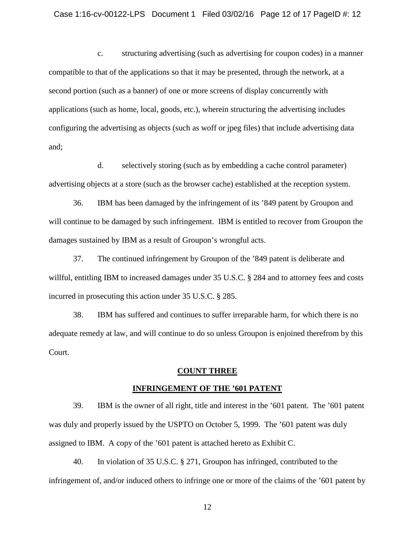## Case 1:16-cv-00122-LPS Document 1 Filed 03/02/16 Page 12 of 17 PageID #: 12

c. structuring advertising (such as advertising for coupon codes) in a manner compatible to that of the applications so that it may be presented, through the network, at a second portion (such as a banner) of one or more screens of display concurrently with applications (such as home, local, goods, etc.), wherein structuring the advertising includes configuring the advertising as objects (such as woff or jpeg files) that include advertising data and;

d. selectively storing (such as by embedding a cache control parameter) advertising objects at a store (such as the browser cache) established at the reception system.

36. IBM has been damaged by the infringement of its '849 patent by Groupon and will continue to be damaged by such infringement. IBM is entitled to recover from Groupon the damages sustained by IBM as a result of Groupon's wrongful acts.

37. The continued infringement by Groupon of the '849 patent is deliberate and willful, entitling IBM to increased damages under 35 U.S.C. § 284 and to attorney fees and costs incurred in prosecuting this action under 35 U.S.C. § 285.

38. IBM has suffered and continues to suffer irreparable harm, for which there is no adequate remedy at law, and will continue to do so unless Groupon is enjoined therefrom by this Court.

### **COUNT THREE**

### **INFRINGEMENT OF THE '601 PATENT**

39. IBM is the owner of all right, title and interest in the '601 patent. The '601 patent was duly and properly issued by the USPTO on October 5, 1999. The '601 patent was duly assigned to IBM. A copy of the '601 patent is attached hereto as Exhibit C.

40. In violation of 35 U.S.C. § 271, Groupon has infringed, contributed to the infringement of, and/or induced others to infringe one or more of the claims of the '601 patent by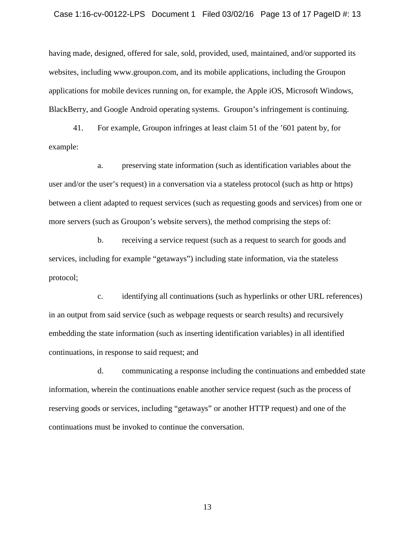#### Case 1:16-cv-00122-LPS Document 1 Filed 03/02/16 Page 13 of 17 PageID #: 13

having made, designed, offered for sale, sold, provided, used, maintained, and/or supported its websites, including www.groupon.com, and its mobile applications, including the Groupon applications for mobile devices running on, for example, the Apple iOS, Microsoft Windows, BlackBerry, and Google Android operating systems. Groupon's infringement is continuing.

41. For example, Groupon infringes at least claim 51 of the '601 patent by, for example:

a. preserving state information (such as identification variables about the user and/or the user's request) in a conversation via a stateless protocol (such as http or https) between a client adapted to request services (such as requesting goods and services) from one or more servers (such as Groupon's website servers), the method comprising the steps of:

b. receiving a service request (such as a request to search for goods and services, including for example "getaways") including state information, via the stateless protocol;

c. identifying all continuations (such as hyperlinks or other URL references) in an output from said service (such as webpage requests or search results) and recursively embedding the state information (such as inserting identification variables) in all identified continuations, in response to said request; and

d. communicating a response including the continuations and embedded state information, wherein the continuations enable another service request (such as the process of reserving goods or services, including "getaways" or another HTTP request) and one of the continuations must be invoked to continue the conversation.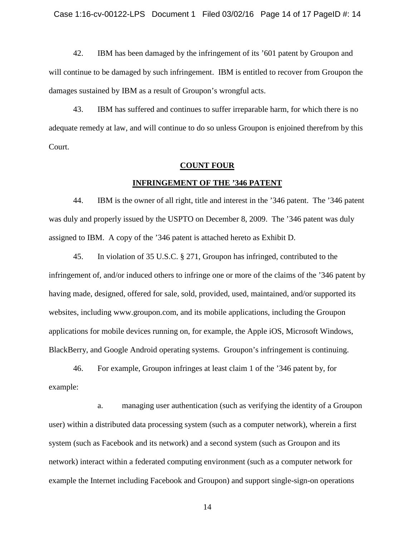42. IBM has been damaged by the infringement of its '601 patent by Groupon and will continue to be damaged by such infringement. IBM is entitled to recover from Groupon the damages sustained by IBM as a result of Groupon's wrongful acts.

43. IBM has suffered and continues to suffer irreparable harm, for which there is no adequate remedy at law, and will continue to do so unless Groupon is enjoined therefrom by this Court.

#### **COUNT FOUR**

### **INFRINGEMENT OF THE '346 PATENT**

44. IBM is the owner of all right, title and interest in the '346 patent. The '346 patent was duly and properly issued by the USPTO on December 8, 2009. The '346 patent was duly assigned to IBM. A copy of the '346 patent is attached hereto as Exhibit D.

45. In violation of 35 U.S.C. § 271, Groupon has infringed, contributed to the infringement of, and/or induced others to infringe one or more of the claims of the '346 patent by having made, designed, offered for sale, sold, provided, used, maintained, and/or supported its websites, including www.groupon.com, and its mobile applications, including the Groupon applications for mobile devices running on, for example, the Apple iOS, Microsoft Windows, BlackBerry, and Google Android operating systems. Groupon's infringement is continuing.

46. For example, Groupon infringes at least claim 1 of the '346 patent by, for example:

a. managing user authentication (such as verifying the identity of a Groupon user) within a distributed data processing system (such as a computer network), wherein a first system (such as Facebook and its network) and a second system (such as Groupon and its network) interact within a federated computing environment (such as a computer network for example the Internet including Facebook and Groupon) and support single-sign-on operations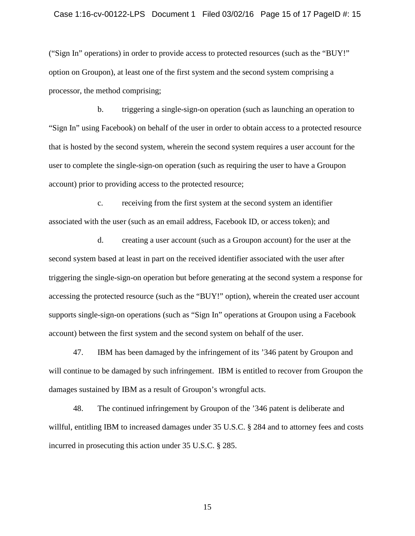### Case 1:16-cv-00122-LPS Document 1 Filed 03/02/16 Page 15 of 17 PageID #: 15

("Sign In" operations) in order to provide access to protected resources (such as the "BUY!" option on Groupon), at least one of the first system and the second system comprising a processor, the method comprising;

b. triggering a single-sign-on operation (such as launching an operation to "Sign In" using Facebook) on behalf of the user in order to obtain access to a protected resource that is hosted by the second system, wherein the second system requires a user account for the user to complete the single-sign-on operation (such as requiring the user to have a Groupon account) prior to providing access to the protected resource;

c. receiving from the first system at the second system an identifier associated with the user (such as an email address, Facebook ID, or access token); and

d. creating a user account (such as a Groupon account) for the user at the second system based at least in part on the received identifier associated with the user after triggering the single-sign-on operation but before generating at the second system a response for accessing the protected resource (such as the "BUY!" option), wherein the created user account supports single-sign-on operations (such as "Sign In" operations at Groupon using a Facebook account) between the first system and the second system on behalf of the user.

47. IBM has been damaged by the infringement of its '346 patent by Groupon and will continue to be damaged by such infringement. IBM is entitled to recover from Groupon the damages sustained by IBM as a result of Groupon's wrongful acts.

48. The continued infringement by Groupon of the '346 patent is deliberate and willful, entitling IBM to increased damages under 35 U.S.C. § 284 and to attorney fees and costs incurred in prosecuting this action under 35 U.S.C. § 285.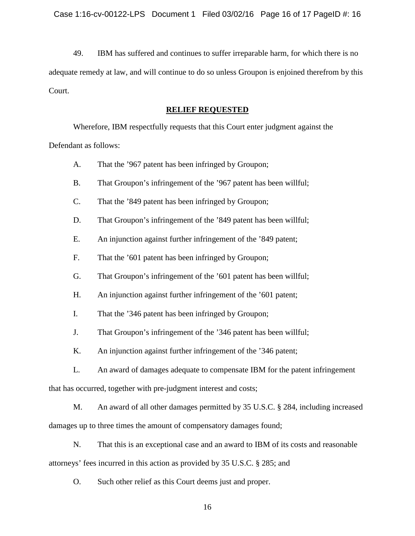49. IBM has suffered and continues to suffer irreparable harm, for which there is no adequate remedy at law, and will continue to do so unless Groupon is enjoined therefrom by this Court.

## **RELIEF REQUESTED**

Wherefore, IBM respectfully requests that this Court enter judgment against the Defendant as follows:

- A. That the '967 patent has been infringed by Groupon;
- B. That Groupon's infringement of the '967 patent has been willful;
- C. That the '849 patent has been infringed by Groupon;
- D. That Groupon's infringement of the '849 patent has been willful;
- E. An injunction against further infringement of the '849 patent;
- F. That the '601 patent has been infringed by Groupon;
- G. That Groupon's infringement of the '601 patent has been willful;
- H. An injunction against further infringement of the '601 patent;
- I. That the '346 patent has been infringed by Groupon;
- J. That Groupon's infringement of the '346 patent has been willful;
- K. An injunction against further infringement of the '346 patent;

L. An award of damages adequate to compensate IBM for the patent infringement that has occurred, together with pre-judgment interest and costs;

M. An award of all other damages permitted by 35 U.S.C. § 284, including increased damages up to three times the amount of compensatory damages found;

N. That this is an exceptional case and an award to IBM of its costs and reasonable attorneys' fees incurred in this action as provided by 35 U.S.C. § 285; and

O. Such other relief as this Court deems just and proper.